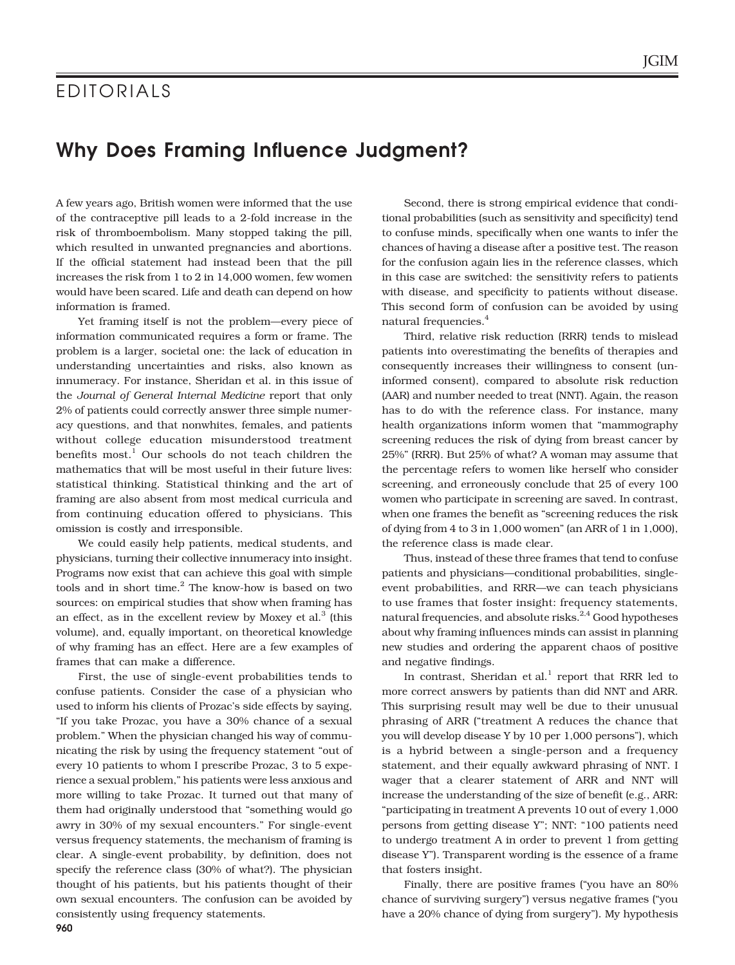## **EDITORIALS**

## **Why Does Framing Influence Judgment?**

A few years ago, British women were informed that the use of the contraceptive pill leads to a 2-fold increase in the risk of thromboembolism. Many stopped taking the pill, which resulted in unwanted pregnancies and abortions. If the official statement had instead been that the pill increases the risk from 1 to 2 in 14,000 women, few women would have been scared. Life and death can depend on how information is framed.

Yet framing itself is not the problem—every piece of information communicated requires a form or frame. The problem is a larger, societal one: the lack of education in understanding uncertainties and risks, also known as innumeracy. For instance, Sheridan et al. in this issue of the *Journal of General Internal Medicine* report that only 2% of patients could correctly answer three simple numeracy questions, and that nonwhites, females, and patients without college education misunderstood treatment benefits most.<sup>1</sup> Our schools do not teach children the mathematics that will be most useful in their future lives: statistical thinking. Statistical thinking and the art of framing are also absent from most medical curricula and from continuing education offered to physicians. This omission is costly and irresponsible.

We could easily help patients, medical students, and physicians, turning their collective innumeracy into insight. Programs now exist that can achieve this goal with simple tools and in short time. $2$  The know-how is based on two sources: on empirical studies that show when framing has an effect, as in the excellent review by Moxey et al. $3$  (this volume), and, equally important, on theoretical knowledge of why framing has an effect. Here are a few examples of frames that can make a difference.

First, the use of single-event probabilities tends to confuse patients. Consider the case of a physician who used to inform his clients of Prozac's side effects by saying, "If you take Prozac, you have a 30% chance of a sexual problem." When the physician changed his way of communicating the risk by using the frequency statement "out of every 10 patients to whom I prescribe Prozac, 3 to 5 experience a sexual problem," his patients were less anxious and more willing to take Prozac. It turned out that many of them had originally understood that "something would go awry in 30% of my sexual encounters." For single-event versus frequency statements, the mechanism of framing is clear. A single-event probability, by definition, does not specify the reference class (30% of what?). The physician thought of his patients, but his patients thought of their own sexual encounters. The confusion can be avoided by consistently using frequency statements.

Second, there is strong empirical evidence that conditional probabilities (such as sensitivity and specificity) tend to confuse minds, specifically when one wants to infer the chances of having a disease after a positive test. The reason for the confusion again lies in the reference classes, which in this case are switched: the sensitivity refers to patients with disease, and specificity to patients without disease. This second form of confusion can be avoided by using natural frequencies.<sup>4</sup>

Third, relative risk reduction (RRR) tends to mislead patients into overestimating the benefits of therapies and consequently increases their willingness to consent (uninformed consent), compared to absolute risk reduction (AAR) and number needed to treat (NNT). Again, the reason has to do with the reference class. For instance, many health organizations inform women that "mammography screening reduces the risk of dying from breast cancer by 25%" (RRR). But 25% of what? A woman may assume that the percentage refers to women like herself who consider screening, and erroneously conclude that 25 of every 100 women who participate in screening are saved. In contrast, when one frames the benefit as "screening reduces the risk of dying from 4 to 3 in 1,000 women" (an ARR of 1 in 1,000), the reference class is made clear.

Thus, instead of these three frames that tend to confuse patients and physicians—conditional probabilities, singleevent probabilities, and RRR—we can teach physicians to use frames that foster insight: frequency statements, natural frequencies, and absolute risks.<sup>2,4</sup> Good hypotheses about why framing influences minds can assist in planning new studies and ordering the apparent chaos of positive and negative findings.

In contrast, Sheridan et al.<sup>1</sup> report that RRR led to more correct answers by patients than did NNT and ARR. This surprising result may well be due to their unusual phrasing of ARR ("treatment A reduces the chance that you will develop disease Y by 10 per 1,000 persons"), which is a hybrid between a single-person and a frequency statement, and their equally awkward phrasing of NNT. I wager that a clearer statement of ARR and NNT will increase the understanding of the size of benefit (e.g., ARR: "participating in treatment A prevents 10 out of every 1,000 persons from getting disease Y"; NNT: "100 patients need to undergo treatment A in order to prevent 1 from getting disease Y"). Transparent wording is the essence of a frame that fosters insight.

Finally, there are positive frames ("you have an 80% chance of surviving surgery") versus negative frames ("you have a 20% chance of dying from surgery"). My hypothesis